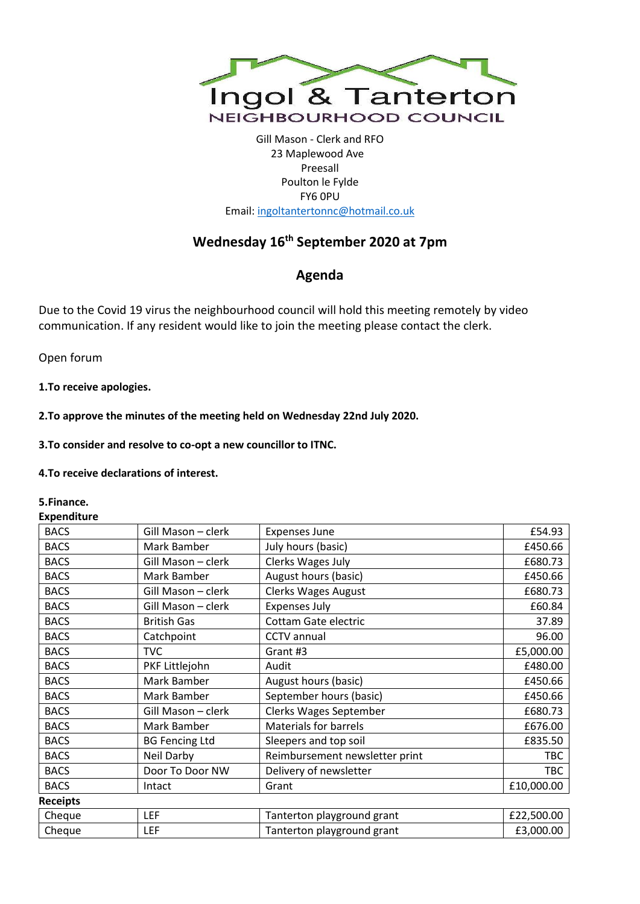

Gill Mason - Clerk and RFO 23 Maplewood Ave Preesall Poulton le Fylde FY6 0PU Email[: ingoltantertonnc@hotmail.co.uk](mailto:ingoltantertonnc@hotmail.co.uk)

# **Wednesday 16th September 2020 at 7pm**

## **Agenda**

Due to the Covid 19 virus the neighbourhood council will hold this meeting remotely by video communication. If any resident would like to join the meeting please contact the clerk.

Open forum

**1.To receive apologies.**

**2.To approve the minutes of the meeting held on Wednesday 22nd July 2020.**

**3.To consider and resolve to co-opt a new councillor to ITNC.**

**4.To receive declarations of interest.**

#### **5.Finance.**

**Expenditure**

| יאיייטייט       |                       |                                |            |
|-----------------|-----------------------|--------------------------------|------------|
| <b>BACS</b>     | Gill Mason - clerk    | <b>Expenses June</b>           | £54.93     |
| <b>BACS</b>     | Mark Bamber           | July hours (basic)             | £450.66    |
| <b>BACS</b>     | Gill Mason - clerk    | Clerks Wages July              | £680.73    |
| <b>BACS</b>     | Mark Bamber           | August hours (basic)           | £450.66    |
| <b>BACS</b>     | Gill Mason - clerk    | Clerks Wages August            | £680.73    |
| <b>BACS</b>     | Gill Mason - clerk    | <b>Expenses July</b>           | £60.84     |
| <b>BACS</b>     | <b>British Gas</b>    | Cottam Gate electric           | 37.89      |
| <b>BACS</b>     | Catchpoint            | <b>CCTV</b> annual             | 96.00      |
| <b>BACS</b>     | <b>TVC</b>            | Grant #3                       | £5,000.00  |
| <b>BACS</b>     | PKF Littlejohn        | Audit                          | £480.00    |
| <b>BACS</b>     | Mark Bamber           | August hours (basic)           | £450.66    |
| <b>BACS</b>     | Mark Bamber           | September hours (basic)        | £450.66    |
| <b>BACS</b>     | Gill Mason - clerk    | Clerks Wages September         | £680.73    |
| <b>BACS</b>     | Mark Bamber           | <b>Materials for barrels</b>   | £676.00    |
| <b>BACS</b>     | <b>BG Fencing Ltd</b> | Sleepers and top soil          | £835.50    |
| <b>BACS</b>     | Neil Darby            | Reimbursement newsletter print | <b>TBC</b> |
| <b>BACS</b>     | Door To Door NW       | Delivery of newsletter         | <b>TBC</b> |
| <b>BACS</b>     | Intact                | Grant                          | £10,000.00 |
| <b>Receipts</b> |                       |                                |            |
| Cheque          | <b>LEF</b>            | Tanterton playground grant     | £22,500.00 |
| Cheque          | <b>LEF</b>            | Tanterton playground grant     | £3,000.00  |
|                 |                       |                                |            |